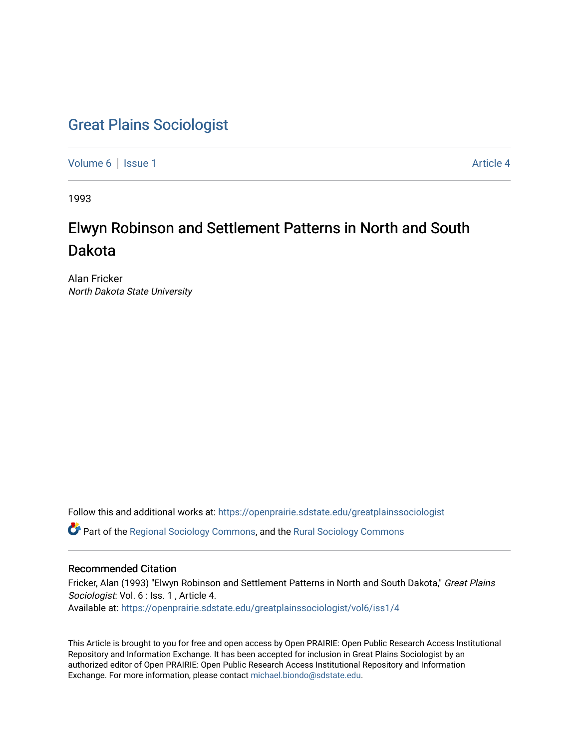## [Great Plains Sociologist](https://openprairie.sdstate.edu/greatplainssociologist)

[Volume 6](https://openprairie.sdstate.edu/greatplainssociologist/vol6) | [Issue 1](https://openprairie.sdstate.edu/greatplainssociologist/vol6/iss1) Article 4

1993

# Elwyn Robinson and Settlement Patterns in North and South Dakota

Alan Fricker North Dakota State University

Follow this and additional works at: [https://openprairie.sdstate.edu/greatplainssociologist](https://openprairie.sdstate.edu/greatplainssociologist?utm_source=openprairie.sdstate.edu%2Fgreatplainssociologist%2Fvol6%2Fiss1%2F4&utm_medium=PDF&utm_campaign=PDFCoverPages) 

Part of the [Regional Sociology Commons](http://network.bepress.com/hgg/discipline/427?utm_source=openprairie.sdstate.edu%2Fgreatplainssociologist%2Fvol6%2Fiss1%2F4&utm_medium=PDF&utm_campaign=PDFCoverPages), and the [Rural Sociology Commons](http://network.bepress.com/hgg/discipline/428?utm_source=openprairie.sdstate.edu%2Fgreatplainssociologist%2Fvol6%2Fiss1%2F4&utm_medium=PDF&utm_campaign=PDFCoverPages) 

## Recommended Citation

Fricker, Alan (1993) "Elwyn Robinson and Settlement Patterns in North and South Dakota," Great Plains Sociologist: Vol. 6 : Iss. 1 , Article 4. Available at: [https://openprairie.sdstate.edu/greatplainssociologist/vol6/iss1/4](https://openprairie.sdstate.edu/greatplainssociologist/vol6/iss1/4?utm_source=openprairie.sdstate.edu%2Fgreatplainssociologist%2Fvol6%2Fiss1%2F4&utm_medium=PDF&utm_campaign=PDFCoverPages) 

This Article is brought to you for free and open access by Open PRAIRIE: Open Public Research Access Institutional Repository and Information Exchange. It has been accepted for inclusion in Great Plains Sociologist by an authorized editor of Open PRAIRIE: Open Public Research Access Institutional Repository and Information Exchange. For more information, please contact [michael.biondo@sdstate.edu.](mailto:michael.biondo@sdstate.edu)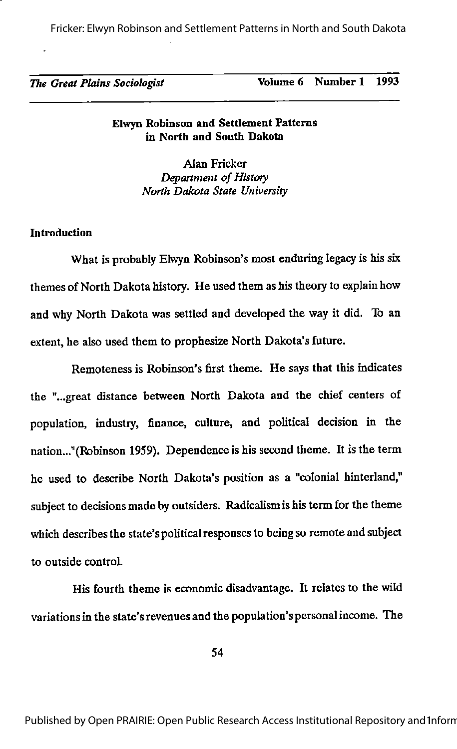Fricker: Elwyn Robinson and Settlement Patterns in North and South Dakota

## The Great Plains Sociologist Volume 6 Number 1 1993

#### Elwyn Robinson and Settlement Patterns in North and South Dakota

Alan Fricker Department of History North Dakota State University

#### **Introduction**

What is probably Elwyn Robinson's most enduring legacy is his six themes of North Dakota history. He used them as his theory to explain how and why North Dakota was settled and developed the way it did. To an extent, he also used them to prophesize North Dakota's future.

Remoteness is Robinson's first theme. He says that this indicates the "...great distance between North Dakota and the chief centers of population, industry, finance, culture, and political decision in the nation..."(Robinson 1959). Dependence is his second theme. It is the term he used to describe North Dakota's position as a "colonial hinterland," subject to decisions made by outsiders. Radicalism is his term for the theme which describes the state's political responses to being so remote and subject to outside control.

His fourth theme is economic disadvantage. It relates to the wild variationsin the state's revenues and the population's personal income. The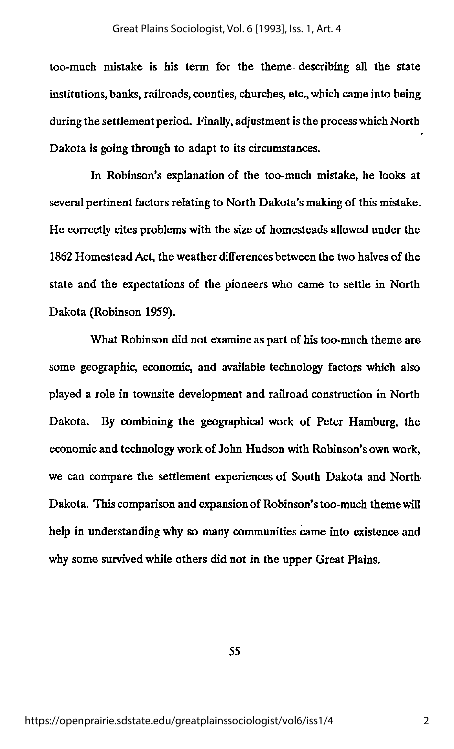too-much mistake is his term for the theme describing all the state institutions, banks, railroads, counties, churches, etc., which came into being during the settlement period. Finally, adjustment is the process which North Dakota is going through to adapt to its circumstances.

In Robinson's explanation of the too-much mistake, he looks at several pertinent factors relating to North Dakota's making of this mistake. He correctly cites problems with the size of homesteads allowed under the 1862 Homestead Act, the weather differences between the two halves of the state and the expectations of the pioneers who came to settle in North Dakota (Robinson 1959).

What Robinson did not examine as part of his too-much theme are some geographic, economic, and available technology factors which also played a role in townsite development and railroad construction in North Dakota. By combining the geographical work of Peter Hamburg, the economic and technology work of John Hudson with Robinson's own work, we can compare the settlement experiences of South Dakota and North Dakota. This comparison and expansion of Robinson's too-much themewill help in understanding why so many communities came into existence and why some survived while others did not in the upper Great Plains.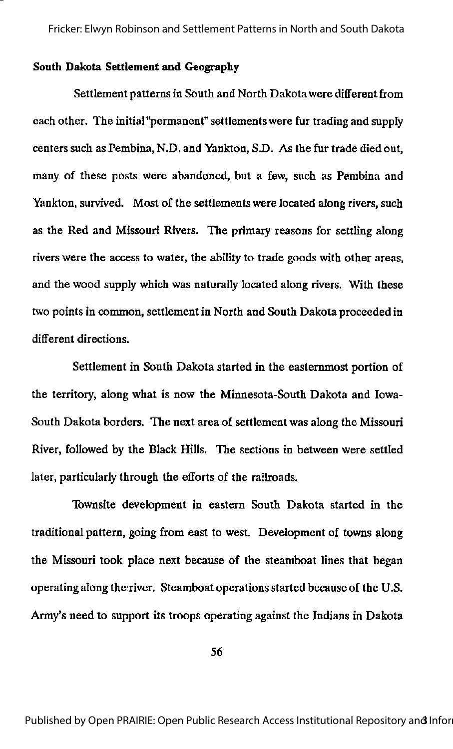#### South Dakota Settlement and Geography

Settlement patterns in South and North Dakota were different from each other. The initial "permanent" settlements were fur trading and supply centers such as Pembina, N.D. and Yankton, S.D. As the fur trade died out, many of these posts were abandoned, but a few, such as Pembina and Yankton, survived. Most of the settlements were located along rivers, such as the Red and Missouri Rivers. The primary reasons for settling along rivers were the access to water, the ability to trade goods with other areas, and the wood supply which was naturally located along rivers. With these two points in common, settlement in North and South Dakota proceeded in different directions.

Settlement in South Dakota started in the easternmost portion of the territory, along what is now the Minnesota-South Dakota and Iowa-South Dakota borders. The next area of settlement was along the Missouri River, followed by the Black Hills. The sections in between were settled later, particularly through the efforts of the railroads.

Townsite development in eastern South Dakota started in the traditional pattern, going from east to west. Development of towns along the Missouri took place next because of the steamboat lines that began operating along the river. Steamboat operationsstarted because of the U.S. Army's need to support its troops operating against the Indians in Dakota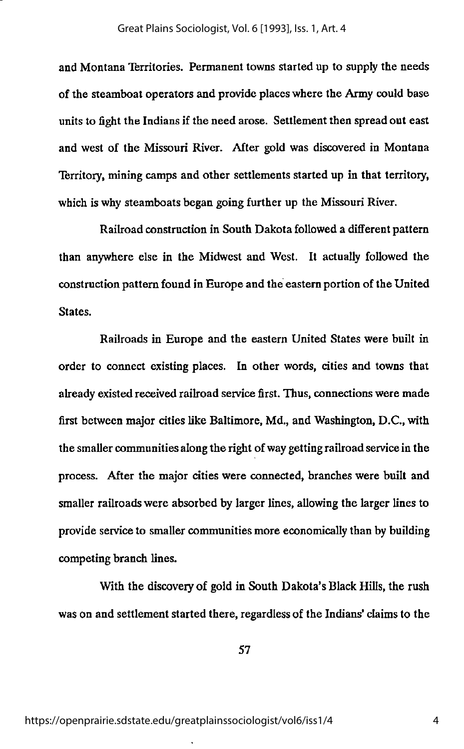and Montana Territories. Permanent towns started up to supply the needs of the steamboat operators and provide places where the Army could base units to fight the Indians if the need arose. Settlement then spread out east and west of the Missouri River. After gold was discovered in Montana Territory, mining camps and other settlements started up in that territory, which is why steamboats began going further up the Missouri River.

Railroad construction in South Dakota followed a different pattern than anywhere else in the Midwest and West. It actually followed the construction pattern found in Europe and the eastern portion of the United States.

Railroads in Europe and the eastern United States were built in order to connect existing places. In other words, cities and towns that already existed received railroad service first. Thus, connections were made first between major cities like Baltimore, Md., and Washington, D.C., with the smaller communities along the right of way getting railroad service in the process. After the major cities were connected, branches were built and smaller railroads were absorbed by larger lines, allowing the larger lines to provide service to smaller communities more economically than by building competing branch lines.

With the discovery of gold in South Dakota's Black Hills, the rush was on and settlement started there, regardless of the Indians' claims to the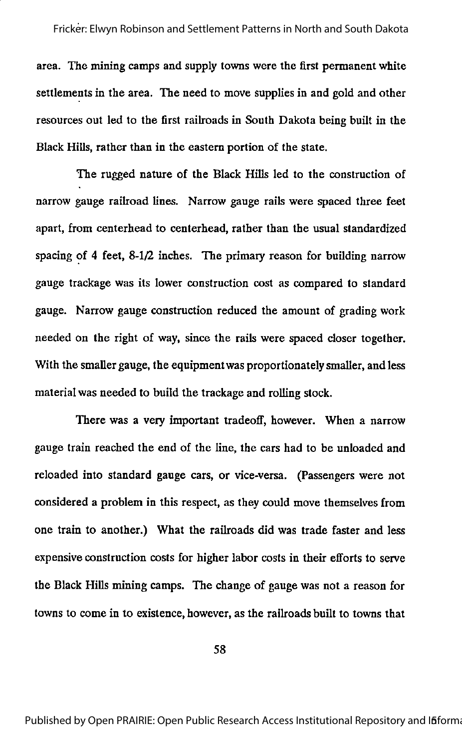area. The mining camps and supply towns were the first permanent white settlements in the area. The need to move supplies in and gold and other resources out led to the first railroads in South Dakota being built in the Black Hills, rather than in the eastern portion of the state.

The rugged nature of the Black Hills led to the construction of narrow gauge railroad lines. Narrow gauge rails were spaced three feet apart, from centerhead to centerhead, rather than the usual standardized spacing of 4 feet, 8-1/2 inches. The primary reason for building narrow gauge trackage was its lower construction cost as compared to standard gauge. Narrow gauge construction reduced the amount of grading work needed on the right of way, since the rails were spaced closer together. With the smaller gauge, the equipment was proportionately smaller, and less material was needed to build the trackage and rolling stock.

There was a very important tradeoff, however. When a narrow gauge train reached the end of the line, the cars had to be unloaded and reloaded into standard gauge cars, or vice-versa. (Passengers were not considered a problem in this respect, as they could move themselves from one train to another.) What the railroads did was trade faster and less expensive construction costs for higher labor costs in their efforts to serve the Black Hills mining camps. The change of gauge was not a reason for towns to come in to existence, however, as the railroads built to towns that

58

Published by Open PRAIRIE: Open Public Research Access Institutional Repository and Ififorma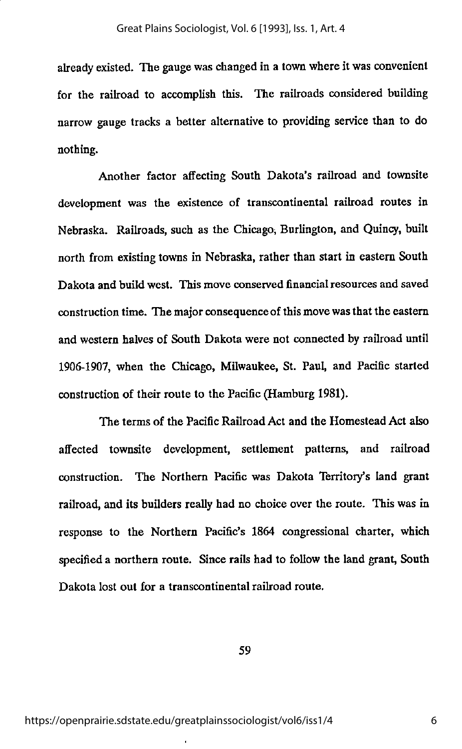already existed. The gauge was changed in a town where it was convenient for the railroad to accomplish this. The railroads considered building narrow gauge tracks a better alternative to providing service than to do nothing.

Another factor affecting South Dakota's railroad and townsite development was the existence of transcontinental railroad routes in Nebraska. Railroads, such as the Chicago, Burlington, and Quincy, built north from existing towns in Nebraska, rather than start in eastern South Dakota and build west. This move conserved financial resources and saved construction time. The major consequence of this move was that the eastern and western halves of South Dakota were not connected by railroad until 1906-1907, when the Chicago, Milwaukee, St. Paul, and Pacific started construction of their route to the Pacific (Hamburg 1981).

The terms of the Pacific Railroad Act and the Homestead Act also affected townsite development, settlement patterns, and railroad construction. The Northern Pacific was Dakota Territory's land grant railroad, and its builders really had no choice over the route. This was in response to the Northern Pacific's 1864 congressional charter, which specifieda northern route. Since rails had to follow the land grant, South Dakota lost out for a transcontinental railroad route.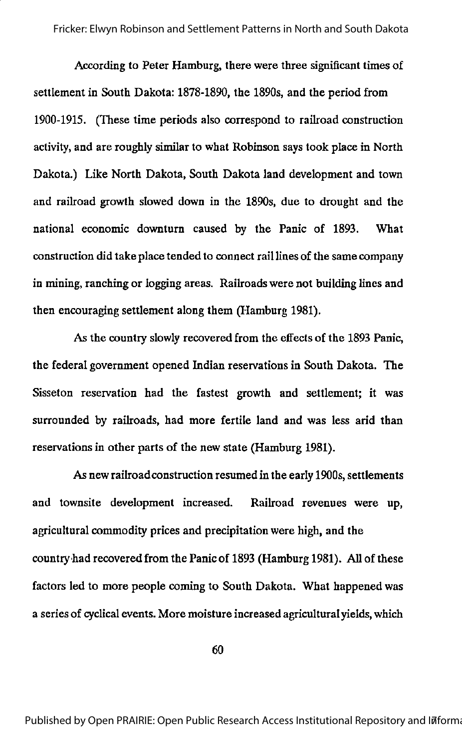According to Peter Hamburg, there were three significant times of settlement in South Dakota: 1878-1890, the 1890s, and the period from 1900-1915. (These time periods also correspond to railroad construction activity, and are roughly similar to what Robinson says took place in North Dakota.) Like North Dakota, South Dakota land development and town and railroad growth slowed down in the 1890s, due to drought and the national economic downturn caused by the Panic of 1893. What construction did take place tended to connect rail lines of the same company in mining, ranching or logging areas. Railroads were not building lines and then encouraging settlement along them (Hamburg 1981).

As the country slowly recovered from the effects of the 1893 Panic, the federal government opened Indian reservations in South Dakota. The Sisseton reservation had the fastest growth and settlement; it was surrounded by railroads, had more fertile land and was less arid than reservations in other parts of the new state (Hamburg 1981).

As new railroad construction resumed in the early 1900s, settlements and townsite development increased. Railroad revenues were up, agricultural commodity prices and precipitation were high, and the countryhad recovered from the Panic of 1893 (Hamburg 1981). All of these factors led to more people coming to South Dakota. What happened was a series of cyclical events. More moisture increased agricultural yields, which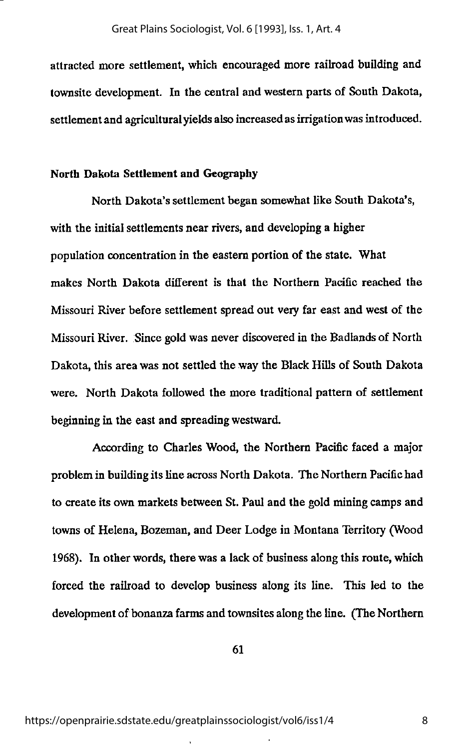attracted more settlement, which encouraged more railroad building and townsite development. In the central and western parts of South Dakota, settlement and agriculturalyields also increased as irrigation was introduced.

#### North Dakota Settlement and Geography

North Dakota's settlement began somewhat like South Dakota's, with the initial settlements near rivers, and developing a higher population concentration in the eastern portion of the state. What makes North Dakota different is that the Northern Pacific reached the Missouri River before settlement spread out very far east and west of the Missouri River. Since gold was never discovered in the Badlands of North Dakota, this area was not settled the way the Black Hills of South Dakota were. North Dakota followed the more traditional pattern of settlement beginning in the east and spreading westward.

According to Charles Wood, the Northern Pacific faced a major problem in building its line across North Dakota. The Northern Pacific had to create its own markets between St. Paul and the gold mining camps and towns of Helena, Bozeman, and Deer Lodge in Montana Territory (Wood 1968). In other words, there was a lack of business along this route, which forced the railroad to develop business along its line. This led to the development of bonanza farms and townsites along the line. (The Northern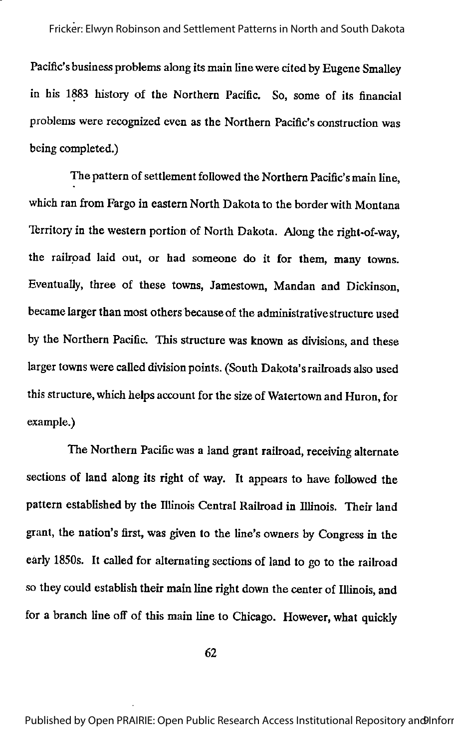Pacific's business problems along its main line were cited by Eugene Smalley in his 1883 history of the Northern Pacific. So, some of its financial problems were recognized even as the Northern Pacific's construction was being completed.)

The pattern of settlement followed the Northern Pacific's main line, which ran from Fargo in eastern North Dakota to the border with Montana Territory in the western portion of North Dakota. Along the right-of-way, the railroad laid out, or had someone do it for them, many towns. Eventually, three of these towns, Jamestown, Mandan and Dickinson, became larger than most others because of the administrative structure used by the Northern Pacific. This structure was known as divisions, and these larger towns were called division points. (South Dakota's railroads also used this structure, which helps account for the size of Watertown and Huron, for example.)

The Northern Pacific was a land grant railroad, receiving alternate sections of land along its right of way. It appears to have followed the pattern established by the Illinois Central Railroad in Illinois. Their land grant, the nation's first, was given to the line's owners by Congress in the early 1850s. It called for alternating sections of land to go to the railroad so they could establish their main line right down the center of Illinois, and for a branch line off of this main line to Chicago. However, what quickly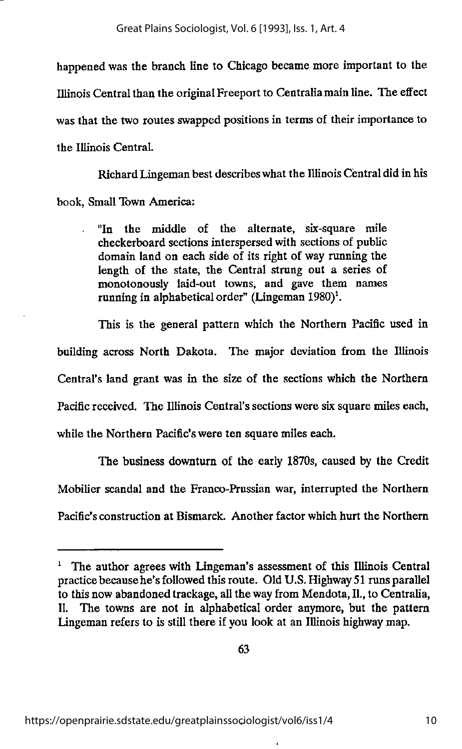happened was the branch line to Chicago became more important to the IllinoisCentral than the original Freeport to Centraliamain line. The effect was that the two routes swapped positions in terms of their importance to the Illinois Central.

Richard Lingeman best describeswhat the IllinoisCentral did in his book, Small Town America:

"In the middle of the alternate, six-square mile checkerboard sections interspersed with sections of public domain land on each side of its right of way running the length of the state, the Central strung out a series of monotonously laid-out towns, and gave them names running in alphabetical order" (Lingeman  $1980)^1$ .

This is the general pattern which the Northern Pacific used in building across North Dakota. The major deviation from the Illinois Central's land grant was in the size of the sections which the Northern Pacific received. The Illinois Central's sections were six square miles each, while the Northern Pacific's were ten square miles each.

The business downturn of the early 1870s, caused by the Credit Mobilier scandal and the Franco-Prussian war, interrupted the Northern Pacific's construction at Bismarck. Another factor which hurt the Northern

 $<sup>1</sup>$  The author agrees with Lingeman's assessment of this Illinois Central</sup> practice because he's followed this route. Old U.S. Highway 51 runs parallel to this now abandoned trackage, all the way from Mendota, II., to Centralia, II. The towns are not in alphabetical order anymore, but the pattern Lingeman refers to is still there if you look at an Illinois highway map.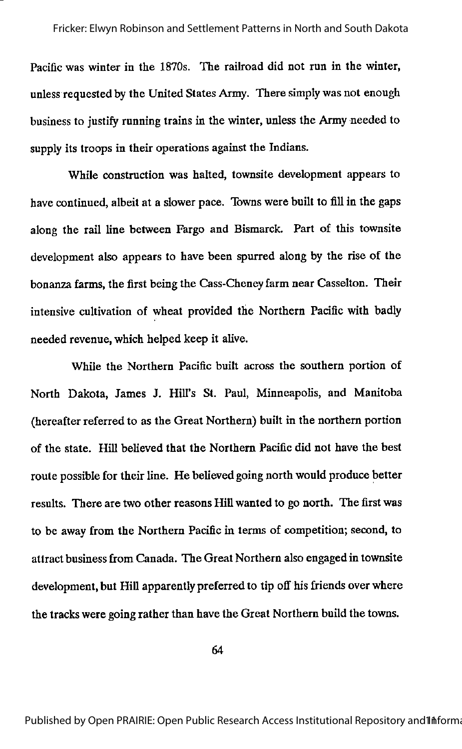Pacific was winter in the 1870s. The railroad did not run in the winter, unless requested by the United States Army. There simply was not enough business to justify running trains in the winter, unless the Army needed to supply its troops in their operations against the Indians.

While construction was halted, townsite development appears to have continued, albeit at a slower pace. Towns were built to fill in the gaps along the rail line between Fargo and Bismarck. Part of this townsite development also appears to have been spurred along by the rise of the bonanza farms, the first being the Cass-Cheney farm near Casselton. Their intensive cultivation of wheat provided the Northern Pacific with badfy needed revenue, which helped keep it alive.

While the Northern Pacific built across the southern portion of North Dakota, James J. Hill's St. Paul, Minneapolis, and Manitoba (hereafter referred to as the Great Northern) built in the northern portion of the state. Hill believed that the Northern Pacific did not have the best route possible for their line. He believed going north would produce better results. There are two other reasons Hill wanted to go north. The first was to be away from the Northern Pacific in terms of competition; second, to attract businessfrom Canada. The Great Northern also engaged in townsite development, but Hill apparently preferred to tip off his friends over where the tracks were going rather than have the Great Northern build the towns.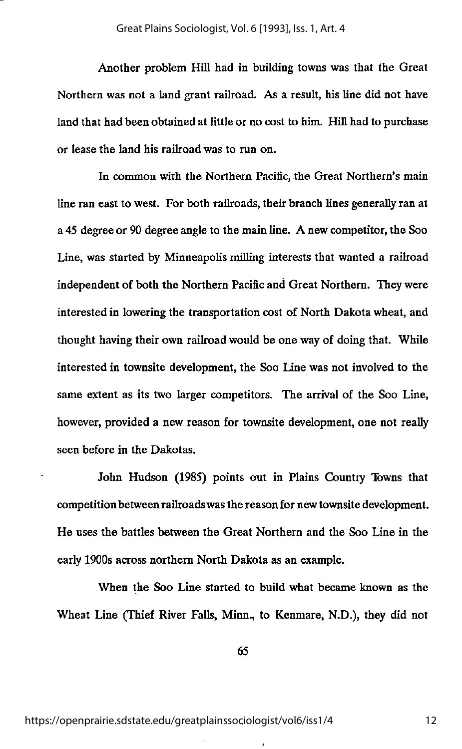Another problem Hill had in building towns was that the Great Northern was not a land grant railroad. As a result, his line did not have land that had been obtained at little or no cost to him. Hill had to purchase or lease the land his railroad was to run on.

In common with the Northern Pacific, the Great Northern's main line ran east to west. For both railroads, their branch lines generally ran at a 45 degree or 90 degree angle to the main line. A new competitor, the Soo Line, was started by Minneapolis milling interests that wanted a railroad independent of both the Northern Pacific and Great Northern. They were interested in lowering the transportation cost of North Dakota wheat, and thought having their own railroad would be one way of doing that. While interested in townsite development, the Soo Line was not involved to the same extent as its two larger competitors. The arrival of the Soo Line, however, provided a new reason for townsite development, one not really seen before in the Dakotas.

John Hudson (1985) points out in Plains Country Towns that competition between railroadswas the reason for new townsite development. He uses the battles between the Great Northern and the Soo Line in the early 1900s across northern North Dakota as an example.

When the Soo Line started to build what became known as the Wheat Line (Thief River Falls, Minn., to Kenmare, N.D.), they did not

65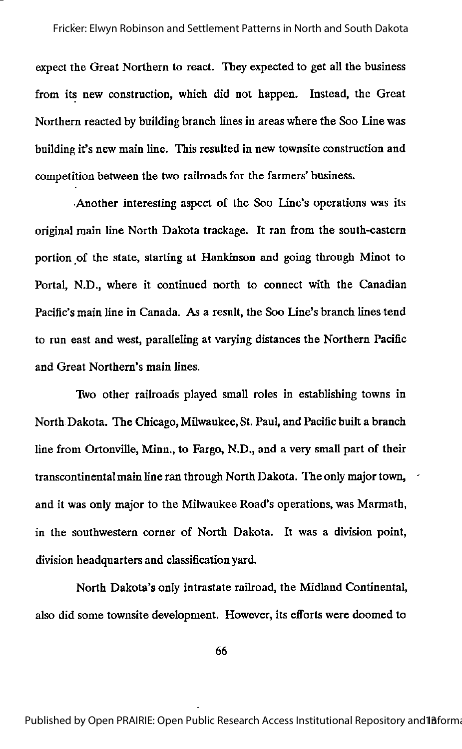expect the Great Northern to react. They expected to get all the business from its new construction, which did not happen. Instead, the Great Northern reacted by building branch lines in areas where the Soo Line was building it's new main line. This resulted in new townsite construction and competition between the two railroads for the farmers' business.

•Another interesting aspect of the Soo Line's operations was its original main line North Dakota trackage. It ran from the south-eastern portion of the state, starting at Hankinson and going through Minot to Portal, N.D., where it continued north to connect with the Canadian Pacific's main line in Canada. As a result, the Soo Line's branch lines tend to run east and west, paralleling at varying distances the Northern Pacific and Great Northern's main lines.

Two other railroads played small roles in establishing towns in North Dakota. The Chicago, Milwaukee, St. Paul, and Pacific built a branch line from Ortonville, Minn., to Fargo, N.D., and a very small part of their transcontinental main line ran through North Dakota. The only major town, and it was only major to the Milwaukee Road's operations, was Marmath, in the southwestern comer of North Dakota. It was a division point, division headquarters and classification yard.

North Dakota's only intrastate railroad, the Midland Continental, also did some townsite development. However, its efforts were doomed to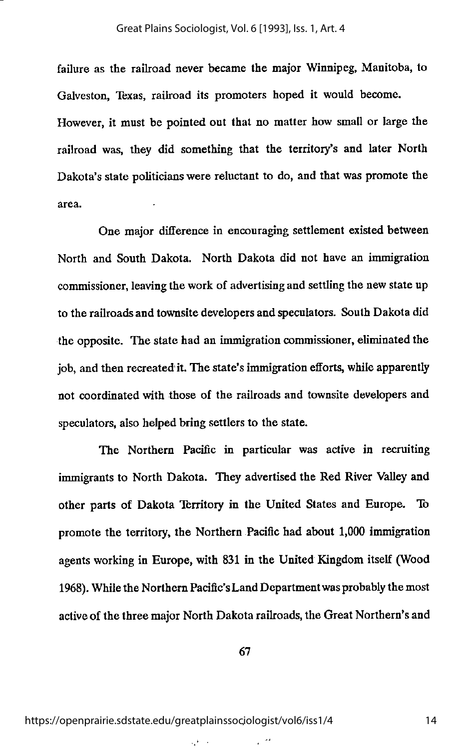failure as the railroad never became the major Winnipeg, Manitoba, to Galveston, Texas, railroad its promoters hoped it would become. However, it must be pointed out that no matter how small or large the railroad was, they did something that the territory's and later North Dakota's state politicianswere reluctant to do, and that was promote the area.

One major difference in encouraging settlement existed between North and South Dakota. North Dakota did not have an immigration commissioner, leaving the work of advertising and settling the new state up to the railroads and townsite developers and speculators. South Dakota did the opposite. The state had an immigration commissioner, eliminated the job, and then recreated it. The state's immigration efforts, while apparently not coordinated with those of the railroads and townsite developers and speculators, also helped bring settlers to the state.

The Northern Pacific in particular was active in recruiting immigrants to North Dakota. They advertised the Red River Valley and other parts of Dakota Territory in the United States and Europe. To promote the territory, the Northern Pacific had about 1,000 immigration agents working in Europe, with 831 in the United Kingdom itself (Wood 1968). While the Northern Pacific's Land Department was probably the most activeof the three major North Dakota railroads, the Great Northern's and

67

 $\zeta^4$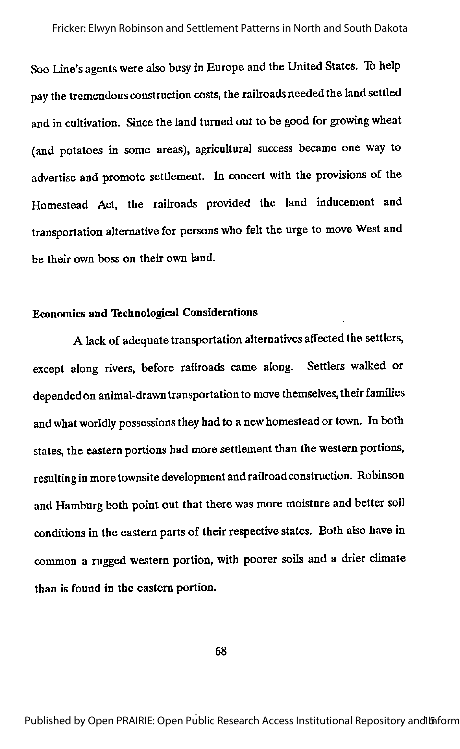Soo Line's agents were also busy in Europe and the United States. To help pay the tremendous construction costs, the railroads needed the land settled and in cultivation. Since the land turned out to be good for growing wheat (and potatoes in some areas), agricultural success became one way to advertise and promote settlement. In concert with the provisions of the Homestead Act, the railroads provided the land inducement and transportation alternative for persons who felt the urge to move West and be their own boss on their own land.

## Economics and Technological Considerations

A lack of adequate transportation alternatives affected the settlers, except along rivers, before railroads came along. Settlers walked or depended on animal-drawn transportation to move themselves, their families and what worldly possessions they had to a new homestead or town. In both states, the eastern portions had more settlement than the western portions, resulting inmore townsite development and railroadconstruction. Robinson and Hamburg both point out that there was more moisture and better soil conditions in the eastern parts of their respective states. Both also have in common a rugged western portion, with poorer soils and a drier climate than is found in the eastern portion.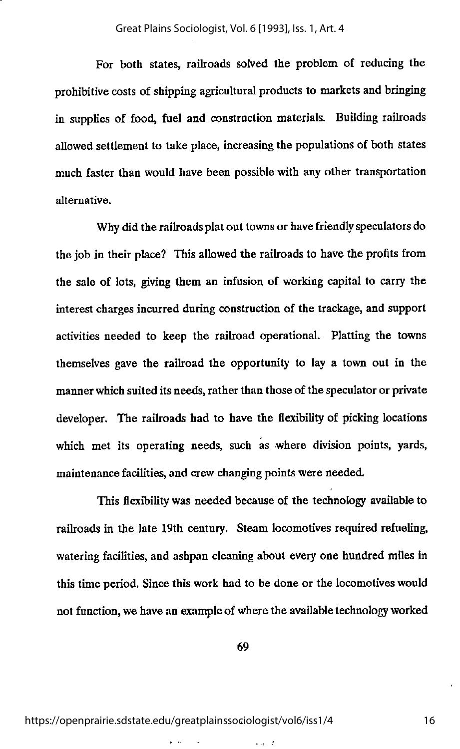For both states, railroads solved the problem of reducing the prohibitive costs of shipping agricultural products to markets and bringing in supplies of food, fuel and construction materials. Building railroads allowed settlement to take place, increasing the populations of both states much faster than would have been possible with any other transportation alternative.

Why did the railroads plat out towns or have friendly speculators do the job in their place? This allowed the railroads to have the profits from the sale of lots, giving them an infusion of working capital to carry the interest charges incurred during construction of the trackage, and support activities needed to keep the railroad operational. Platting the towns themselves gave the railroad the opportunity to lay a town out in the manner which suited its needs, rather than those of the speculator or private developer. The railroads had to have the flexibility of picking locations which met its operating needs, such as where division points, yards, maintenance facilities, and crew changing points were needed.

This flexibility was needed because of the technology available to railroads in the late 19th century. Steam locomotives required refueling, watering facilities, and ashpan cleaning about every one hundred miles in this time period. Since this work had to be done or the locomotives would not function, we have an example of where the available technologyworked

69

 $\alpha$  and  $\alpha$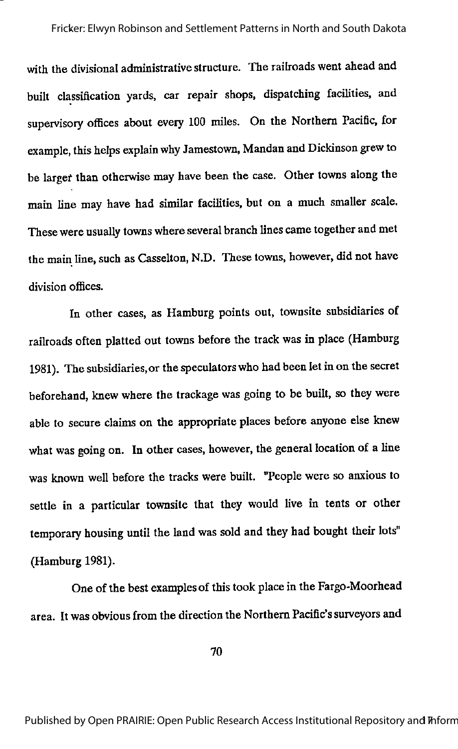with the divisional administrative structure. The railroads went ahead and built classification yards, car repair shops, dispatching facilities, and supervisory offices about every 100 miles. On the Northern Pacific, for example, this helps explain why Jamestown, Mandan and Dickinson grew to be largef than otherwise may have been the case. Other towns along the main line may have had similar facilities, but on a much smaller scale. These were usually towns where several branch lines came together and met the main line, such as Casselton, N.D. These towns, however, did not have division offices.

In other cases, as Hamburg points out, townsite subsidiaries of railroads often platted out towns before the track was in place (Hamburg 1981). The subsidiaries, or the speculators who had been let in on the secret beforehand, knew where the trackagewas going to be built, so they were able to secure claims on the appropriate places before anyone else knew what was going on. In other cases, however, the general location of a line was known well before the tracks were built. "People were so anxious to settle in a particular townsite that they would live in tents or other temporary housing until the land was sold and they had bought their lots" (Hamburg 1981).

One of the best examples of this took place in the Fargo-Moorhead area. It was obvious from the direction the Northern Pacific's surveyors and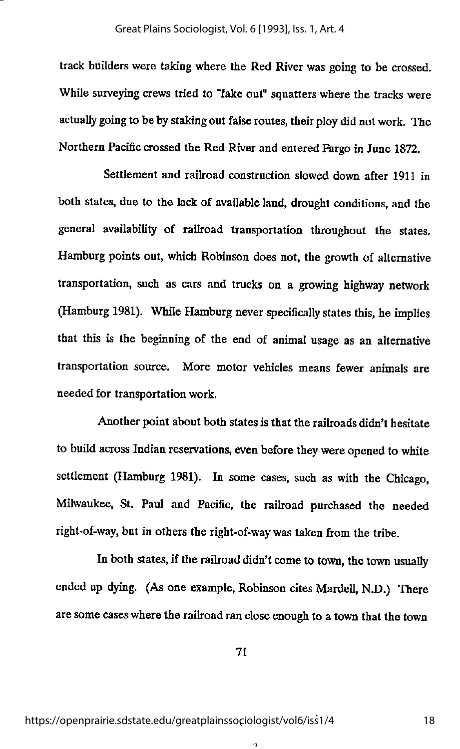track builders were taking where the Red River was going to be crossed. While surveying crews tried to "fake out" squatters where the tracks were actually going to be by staking out false routes, their ploy did not work. The Northern Pacific crossed the Red Riverand entered Fargo in June 1872.

Settlement and railroad construction slowed down after 1911 in both states, due to the lack of available land, drought conditions, and the general availability of railroad transportation throughout the states. Hamburg points out, which Robinson does not, the growth of alternative transportation, such as cars and trucks on a growing highway network (Hamburg 1981). While Hamburg never specifically states this, he implies that this is the beginning of the end of animal usage as an alternative transportation source. More motor vehicles means fewer animals are needed for transportation work.

Another point about both states is that the railroads didn't hesitate to build across Indian reservations, even before they were opened to white settlement (Hamburg 1981). In some cases, such as with the Chicago, Milwaukee, St. Paul and Pacific, the railroad purchased the needed right-of-way, but in others the right-of-way was taken from the tribe.

In both states, if the railroad didn't come to town, the town usually ended up dying. (As one example, Robinson cites Mardell, N.D.) There are some caseswhere the railroad ran close enough to a town that the town

71

 $\cdot$ r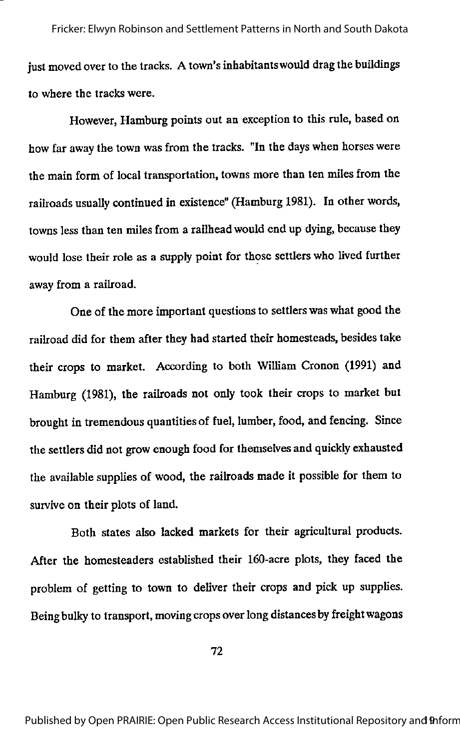just moved over to the tracks. A town's inhabitants would drag the buildings to where the tracks were. Fricker: Elwyn Robinson and Settlement Patterns in North and South Dakota

However, Hamburg points out an exception to this rule, based on how far away the town wasfrom the tracks. "In the days when horseswere the main form of local transportation, towns more than ten miles from the railroads usually continued in existence" (Hamburg 1981). In otherwords, towns less than ten miles from a railhead would end up dying, because they would lose their role as a supply point for those settlers who lived further away from a railroad.

One of the more important questions to settlers waswhat good the railroad did for them after they had started their homesteads, besides take their crops to market. According to both William Cronon (1991) and Hamburg (1981), the railroads not only took their crops to market but brought in tremendous quantities of fuel, lumber, food, and fencing. Since the settlers did not grow enough food for themselves and quickly exhausted the available supplies of wood, the railroads made it possible for them to survive on their plots of land.

Both states also lacked markets for their agricultural products. After the homesteaders established their 160-acre plots, they faced the problem of getting to town to deliver their crops and pick up supplies. Being bulky to transport, moving crops over long distances by freight wagons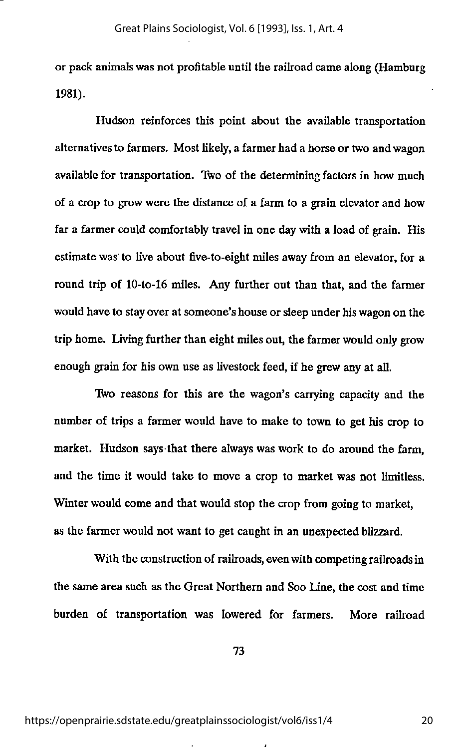or pack animals was not profitable until the railroad came along (Hamburg 1981).

Hudson reinforces this point about the available transportation alternatives to farmers. Most likely,a farmer had a horse or two and wagon available for transportation. Two of the determining factors in how much of a crop to grow were the distance of a farm to a grain elevator and how far a farmer could comfortably travel in one day with a load of grain. His estimate was to live about five-to-eight miles away from an elevator, for a round trip of lO-to-16 miles. Any further out than that, and the farmer would have to stay over at someone's house or sleep under his wagon on the trip home. Living further than eight miles out, the farmer would only grow enough grain for his own use as livestock feed, if he grew any at all.

Two reasons for this are the wagon's carrying capacity and the number of trips a farmer would have to make to town to get his crop to market. Hudson says that there always was work to do around the farm, and the time it would take to move a crop to market was not limitless. Winter would come and that would stop the crop from going to market, as the farmer would not want to get caught in an unexpected blizzard.

With the construction of railroads, even with competing railroads in the same area such as the Great Northern and Soo Line, the cost and time burden of transportation was lowered for farmers. More railroad

73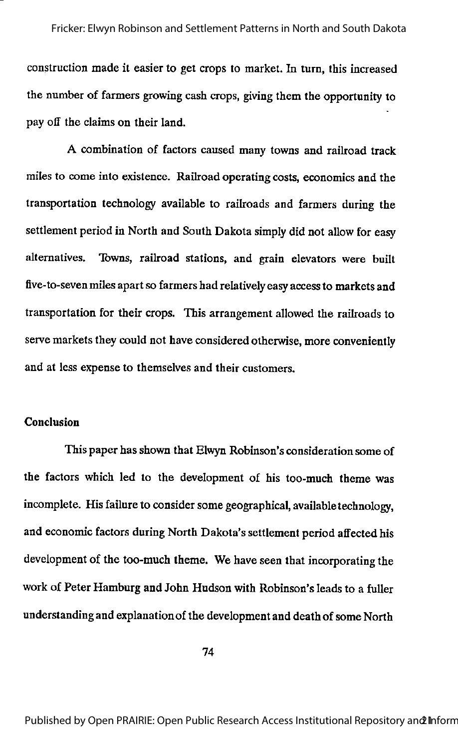construction made it easier to get crops to market. In turn, this increased the number of farmers growing cash crops, giving them the opportunity to pay off the claims on their land.

A combination of factors caused many towns and railroad track miles to come into existence. Railroad operating costs, economics and the transportation technology available to railroads and farmers during the settlement period in North and South Dakota simply did not allow for easy alternatives. Towns, railroad stations, and grain elevators were built five-to-seven miles apart so farmers had relatively easy access to markets and transportation for their crops. This arrangement allowed the railroads to serve markets they could not have considered otherwise, more conveniently and at less expense to themselves and their customers.

#### Conclusion

This paper has shown that Elwyn Robinson's consideration some of the factors which led to the development of his too-much theme was incomplete. His failure to consider some geographical, available technology, and economic factors during North Dakota's settlement period affected his development of the too-much theme. We have seen that incorporating the work of Peter Hamburg and John Hudson with Robinson's leads to a fuller understanding and explanation of the development and death of some North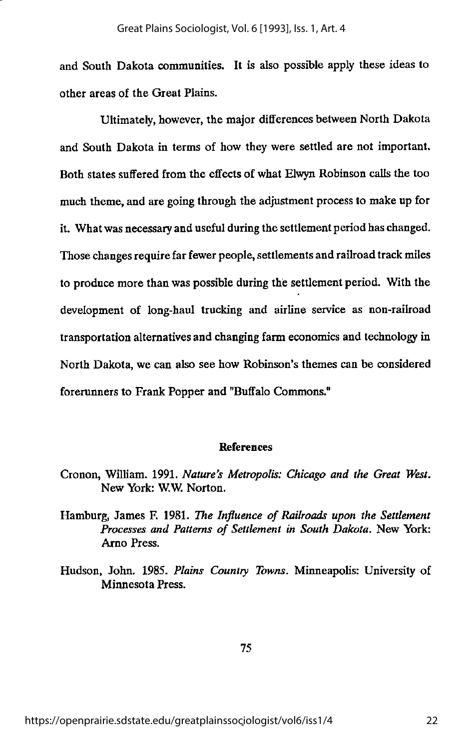and South Dakota communities. It is also possible apply these ideas to other areas of the Great Plains.

Ultimately, however, the major differences between North Dakota and South Dakota in terms of how they were settled are not important. Both states suffered from the effects of what Elwyn Robinson calls the too much theme, and are going through the adjustment process to make up for it. What was necessary and useful during the settlement period has changed. Those changes require far fewer people, settlements and railroad track miles to produce more than was possible during the settlement period. With the development of long-haul trucking and airline service as non-railroad transportation alternatives and changing farm economics and technology in North Dakota, we can also see how Robinson's themes can be considered forerunners to Frank Popper and "Buffalo Commons."

#### References

- Cronon, William. 1991. Nature's Metropolis: Chicago and the Great West. New York: W.W. Norton.
- Hamburg, James F. 1981. The Influence of Railroads upon the Settlement Processes and Patterns of Settlement in South Dakota. New York: Arno Press.
- Hudson, John. 1985. Plains Country Towns. Minneapolis: University of Minnesota Press.